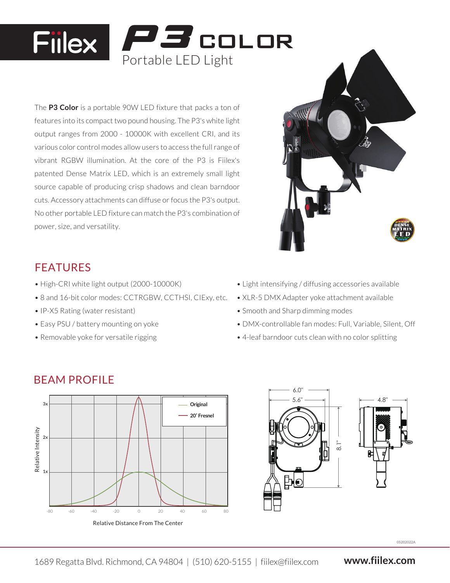

The **P3 Color** is a portable 90W LED fixture that packs a ton of features into its compact two pound housing. The P3's white light output ranges from 2000 - 10000K with excellent CRI, and its various color control modes allow users to access the full range of vibrant RGBW illumination. At the core of the P3 is Fiilex's patented Dense Matrix LED, which is an extremely small light source capable of producing crisp shadows and clean barndoor cuts. Accessory attachments can diffuse or focus the P3's output. No other portable LED fixture can match the P3's combination of power, size, and versatility.

## FEATURES

- High-CRI white light output (2000-10000K)
- 8 and 16-bit color modes: CCTRGBW, CCTHSI, CIExy, etc.
- IP-X5 Rating (water resistant)
- Easy PSU / battery mounting on yoke
- Removable yoke for versatile rigging



- Light intensifying / diffusing accessories available
- XLR-5 DMX Adapter yoke attachment available
- Smooth and Sharp dimming modes
- DMX-controllable fan modes: Full, Variable, Silent, Off
- 4-leaf barndoor cuts clean with no color splitting



## BEAM PROFILE